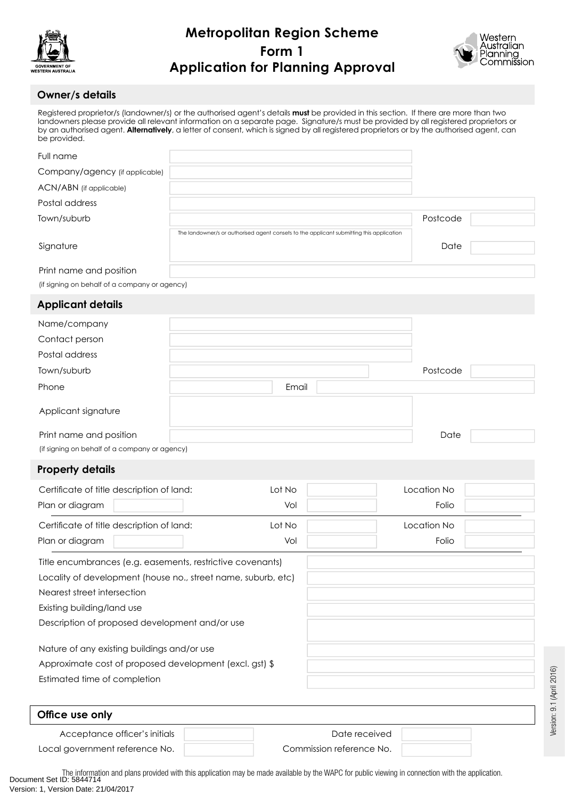



### **Owner/s details**

Registered proprietor/s (landowner/s) or the authorised agent's details **must** be provided in this section. If there are more than two landowners please provide all relevant information on a separate page. Signature/s must be provided by all registered proprietors or by an authorised agent. **Alternatively**, a letter of consent, which is signed by all registered proprietors or by the authorised agent, can be provided.

| Full name                                     |                                                                                          |          |  |
|-----------------------------------------------|------------------------------------------------------------------------------------------|----------|--|
| Company/agency (if applicable)                |                                                                                          |          |  |
| ACN/ABN (if applicable)                       |                                                                                          |          |  |
| Postal address                                |                                                                                          |          |  |
| Town/suburb                                   |                                                                                          | Postcode |  |
|                                               | The landowner/s or authorised agent consets to the applicant submitting this application |          |  |
| Signature                                     |                                                                                          | Date     |  |
|                                               |                                                                                          |          |  |
| Print name and position                       |                                                                                          |          |  |
| (if signing on behalf of a company or agency) |                                                                                          |          |  |

### **Applicant details**

| Name/company                                  |       |          |
|-----------------------------------------------|-------|----------|
| Contact person                                |       |          |
| Postal address                                |       |          |
| Town/suburb                                   |       | Postcode |
| Phone                                         | Email |          |
| Applicant signature                           |       |          |
| Print name and position                       |       | Date     |
| (if signing on behalf of a company or agency) |       |          |

### **Property details**

| Certificate of title description of land: | Lot No | Location No |  |
|-------------------------------------------|--------|-------------|--|
| Plan or diagram                           | Vol    | Folio       |  |
| Certificate of title description of land: | Lot No | Location No |  |
| Plan or diagram                           | Vol    | Folio       |  |
|                                           |        |             |  |

| Title encumbrances (e.g. easements, restrictive covenants)    |  |
|---------------------------------------------------------------|--|
| Locality of development (house no., street name, suburb, etc) |  |
| Nearest street intersection                                   |  |
| Existing building/land use                                    |  |
| Description of proposed development and/or use                |  |
| Nature of any existing buildings and/or use                   |  |
| Approximate cost of proposed development (excl. gst) \$       |  |
| Estimated time of completion                                  |  |

| Office use only                |                          |  |
|--------------------------------|--------------------------|--|
| Acceptance officer's initials  | Date received            |  |
| Local government reference No. | Commission reference No. |  |

The information and plans provided with this application may be made available by the WAPC for public viewing in connection with the application.<br>Document Set ID: 5844714 Version: 1, Version Date: 21/04/2017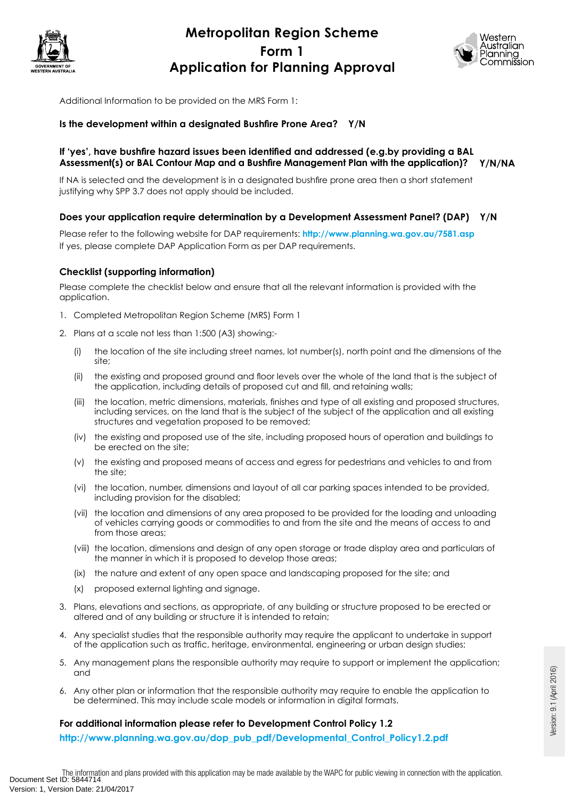



Additional Information to be provided on the MRS Form 1:

### **Is the development within a designated Bushfire Prone Area? Y/N**

#### **If 'yes', have bushfire hazard issues been identified and addressed (e.g.by providing a BAL Assessment(s) or BAL Contour Map and a Bushfire Management Plan with the application)? Y/N/NA**

If NA is selected and the development is in a designated bushfire prone area then a short statement justifying why SPP 3.7 does not apply should be included.

#### **Does your application require determination by a Development Assessment Panel? (DAP) Y/N**

Please refer to the following website for DAP requirements: **http://www.planning.wa.gov.au/7581.asp** If yes, please complete DAP Application Form as per DAP requirements.

#### **Checklist (supporting information)**

Please complete the checklist below and ensure that all the relevant information is provided with the application.

- 1. Completed Metropolitan Region Scheme (MRS) Form 1
- 2. Plans at a scale not less than 1:500 (A3) showing:-
	- (i) the location of the site including street names, lot number(s), north point and the dimensions of the site;
	- (ii) the existing and proposed ground and floor levels over the whole of the land that is the subject of the application, including details of proposed cut and fill, and retaining walls;
	- (iii) the location, metric dimensions, materials, finishes and type of all existing and proposed structures, including services, on the land that is the subject of the subject of the application and all existing structures and vegetation proposed to be removed;
	- (iv) the existing and proposed use of the site, including proposed hours of operation and buildings to be erected on the site;
	- (v) the existing and proposed means of access and egress for pedestrians and vehicles to and from the site;
	- (vi) the location, number, dimensions and layout of all car parking spaces intended to be provided, including provision for the disabled;
	- (vii) the location and dimensions of any area proposed to be provided for the loading and unloading of vehicles carrying goods or commodities to and from the site and the means of access to and from those areas;
	- (viii) the location, dimensions and design of any open storage or trade display area and particulars of the manner in which it is proposed to develop those areas;
	- (ix) the nature and extent of any open space and landscaping proposed for the site; and
	- (x) proposed external lighting and signage.
- 3. Plans, elevations and sections, as appropriate, of any building or structure proposed to be erected or altered and of any building or structure it is intended to retain;
- 4. Any specialist studies that the responsible authority may require the applicant to undertake in support of the application such as traffic, heritage, environmental, engineering or urban design studies;
- 5. Any management plans the responsible authority may require to support or implement the application; and
- 6. Any other plan or information that the responsible authority may require to enable the application to be determined. This may include scale models or information in digital formats.

#### **For additional information please refer to Development Control Policy 1.2**

**http://www.planning.wa.gov.au/dop\_pub\_pdf/Developmental\_Control\_Policy1.2.pdf**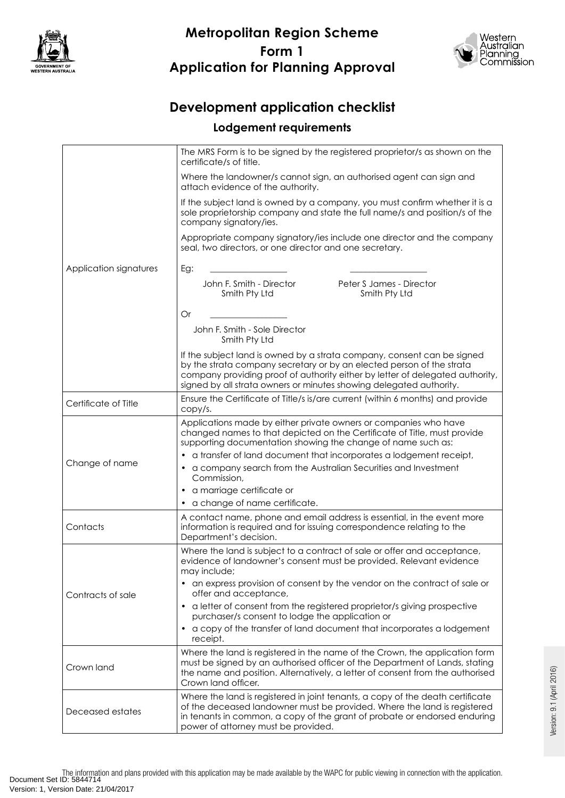



# **Development application checklist**

### **Lodgement requirements**

| Application signatures | The MRS Form is to be signed by the registered proprietor/s as shown on the<br>certificate/s of title.                                                                                                                                                                                                                                                                                                                                         |  |  |
|------------------------|------------------------------------------------------------------------------------------------------------------------------------------------------------------------------------------------------------------------------------------------------------------------------------------------------------------------------------------------------------------------------------------------------------------------------------------------|--|--|
|                        | Where the landowner/s cannot sign, an authorised agent can sign and<br>attach evidence of the authority.                                                                                                                                                                                                                                                                                                                                       |  |  |
|                        | If the subject land is owned by a company, you must confirm whether it is a<br>sole proprietorship company and state the full name/s and position/s of the<br>company signatory/ies.                                                                                                                                                                                                                                                           |  |  |
|                        | Appropriate company signatory/ies include one director and the company<br>seal, two directors, or one director and one secretary.                                                                                                                                                                                                                                                                                                              |  |  |
|                        | Eg:                                                                                                                                                                                                                                                                                                                                                                                                                                            |  |  |
|                        | John F. Smith - Director<br>Peter S James - Director<br>Smith Pty Ltd<br>Smith Pty Ltd                                                                                                                                                                                                                                                                                                                                                         |  |  |
|                        | Or                                                                                                                                                                                                                                                                                                                                                                                                                                             |  |  |
|                        | John F. Smith - Sole Director<br>Smith Pty Ltd                                                                                                                                                                                                                                                                                                                                                                                                 |  |  |
|                        | If the subject land is owned by a strata company, consent can be signed<br>by the strata company secretary or by an elected person of the strata<br>company providing proof of authority either by letter of delegated authority,<br>signed by all strata owners or minutes showing delegated authority.                                                                                                                                       |  |  |
| Certificate of Title   | Ensure the Certificate of Title/s is/are current (within 6 months) and provide<br>copy/s.                                                                                                                                                                                                                                                                                                                                                      |  |  |
| Change of name         | Applications made by either private owners or companies who have<br>changed names to that depicted on the Certificate of Title, must provide<br>supporting documentation showing the change of name such as:<br>a transfer of land document that incorporates a lodgement receipt,<br>a company search from the Australian Securities and Investment<br>Commission,<br>a marriage certificate or<br>$\bullet$<br>a change of name certificate. |  |  |
| Contacts               | A contact name, phone and email address is essential, in the event more<br>information is required and for issuing correspondence relating to the<br>Department's decision.                                                                                                                                                                                                                                                                    |  |  |
| Contracts of sale      | Where the land is subject to a contract of sale or offer and acceptance,<br>evidence of landowner's consent must be provided. Relevant evidence<br>may include;                                                                                                                                                                                                                                                                                |  |  |
|                        | an express provision of consent by the vendor on the contract of sale or<br>٠<br>offer and acceptance,                                                                                                                                                                                                                                                                                                                                         |  |  |
|                        | a letter of consent from the registered proprietor/s giving prospective<br>$\bullet$<br>purchaser/s consent to lodge the application or<br>a copy of the transfer of land document that incorporates a lodgement<br>$\bullet$<br>receipt.                                                                                                                                                                                                      |  |  |
| Crown land             | Where the land is registered in the name of the Crown, the application form<br>must be signed by an authorised officer of the Department of Lands, stating<br>the name and position. Alternatively, a letter of consent from the authorised<br>Crown land officer.                                                                                                                                                                             |  |  |
| Deceased estates       | Where the land is registered in joint tenants, a copy of the death certificate<br>of the deceased landowner must be provided. Where the land is registered<br>in tenants in common, a copy of the grant of probate or endorsed enduring<br>power of attorney must be provided.                                                                                                                                                                 |  |  |